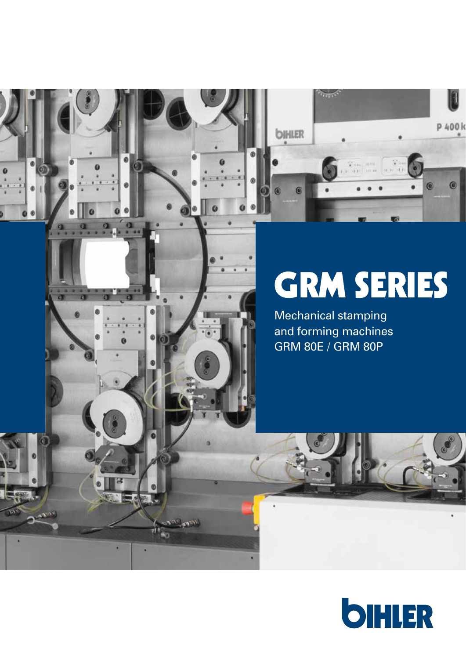

ø a

**Company** 

# GRM SERIES

Mechanical stamping and forming machines GRM 80E / GRM 80P

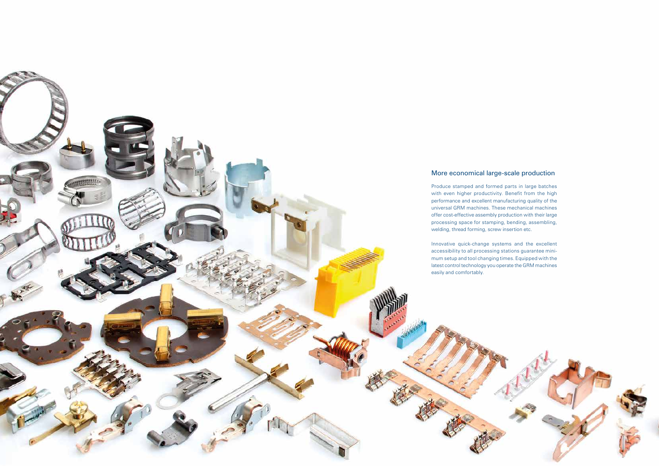# More economical large-scale production

Produce stamped and formed parts in large batches with even higher productivity. Benefit from the high performance and excellent manufacturing quality of the universal GRM machines. These mechanical machines offer cost-effective assembly production with their large processing space for stamping, bending, assembling, welding, thread forming, screw insertion etc.

Innovative quick-change systems and the excellent accessibility to all processing stations guarantee minimum setup and tool changing times. Equipped with the latest control technology you operate the GRM machines easily and comfortably.

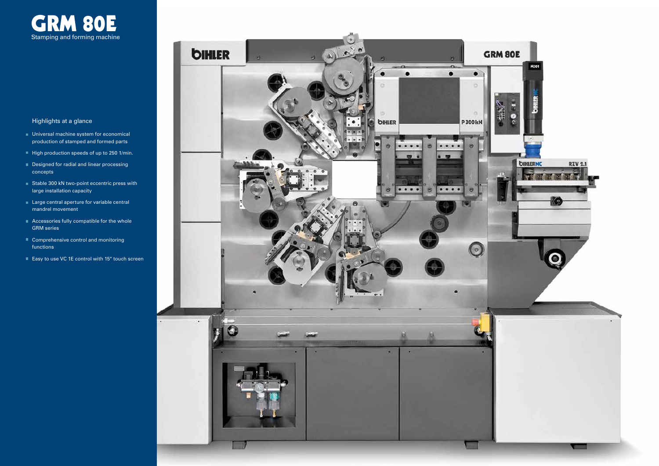

# Highlights at a glance

- **Universal machine system for economical** production of stamped and formed parts
- $\blacksquare$  High production speeds of up to 250 1/min.
- Designed for radial and linear processing concepts
- Stable 300 kN two-point eccentric press with large installation capacity
- **Large central aperture for variable central** mandrel movement
- Accessories fully compatible for the whole GRM series
- Comprehensive control and monitoring functions
- Easy to use VC 1E control with 15" touch screen

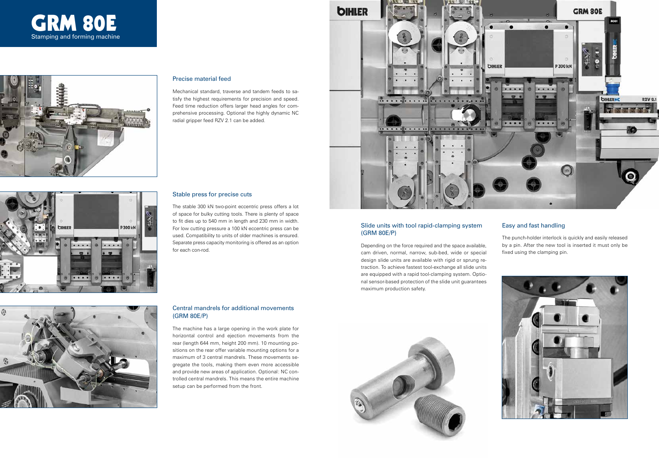#### Stable press for precise cuts

The stable 300 kN two-point eccentric press offers a lot of space for bulky cutting tools. There is plenty of space to fit dies up to 540 mm in length and 230 mm in width. For low cutting pressure a 100 kN eccentric press can be used. Compatibility to units of older machines is ensured. Separate press capacity monitoring is offered as an option for each con-rod.



#### Precise material feed

Mechanical standard, traverse and tandem feeds to satisfy the highest requirements for precision and speed. Feed time reduction offers larger head angles for comprehensive processing. Optional the highly dynamic NC radial gripper feed RZV 2.1 can be added.



# Central mandrels for additional movements (GRM 80E/P)





The machine has a large opening in the work plate for horizontal control and ejection movements from the rear (length 644 mm, height 200 mm). 10 mounting positions on the rear offer variable mounting options for a maximum of 3 central mandrels. These movements segregate the tools, making them even more accessible and provide new areas of application. Optional: NC controlled central mandrels. This means the entire machine setup can be performed from the front.



### Slide units with tool rapid-clamping system (GRM 80E/P)

Depending on the force required and the space available, cam driven, normal, narrow, sub-bed, wide or special design slide units are available with rigid or sprung retraction. To achieve fastest tool-exchange all slide units are equipped with a rapid tool-clamping system. Optional sensor-based protection of the slide unit guarantees maximum production safety.



# Easy and fast handling

The punch-holder interlock is quickly and easily released by a pin. After the new tool is inserted it must only be fixed using the clamping pin.

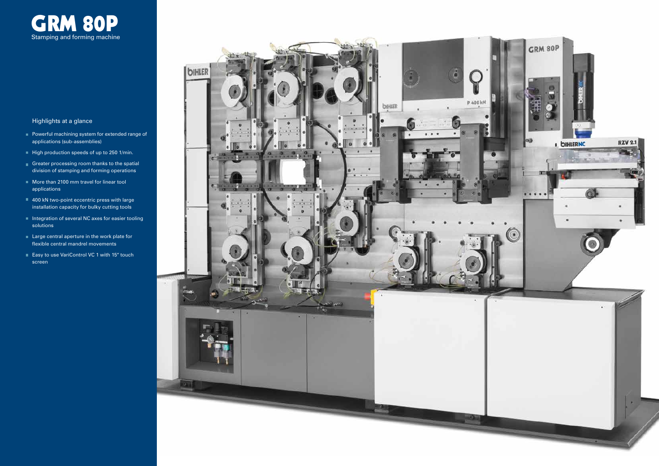

# Highlights at a glance

- **Powerful machining system for extended range of** applications (sub-assemblies)
- $\blacksquare$  High production speeds of up to 250 1/min.
- Greater processing room thanks to the spatial division of stamping and forming operations
- **More than 2100 mm travel for linear tool** applications
- 400 kN two-point eccentric press with large installation capacity for bulky cutting tools
- $\blacksquare$  Integration of several NC axes for easier tooling solutions
- **Large central aperture in the work plate for** flexible central mandrel movements
- Easy to use VariControl VC 1 with 15" touch screen

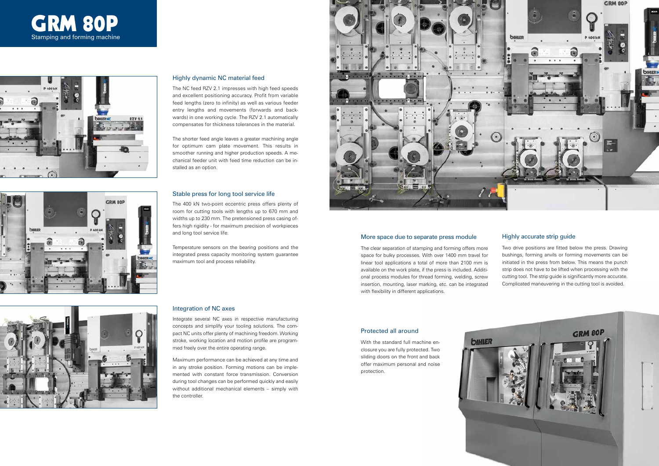#### Highly dynamic NC material feed

The NC feed RZV 2.1 impresses with high feed speeds and excellent positioning accuracy. Profit from variable feed lengths (zero to infinity) as well as various feeder entry lengths and movements (forwards and backwards) in one working cycle. The RZV 2.1 automatically compensates for thickness tolerances in the material.

The shorter feed angle leaves a greater machining angle for optimum cam plate movement. This results in smoother running and higher production speeds. A mechanical feeder unit with feed time reduction can be installed as an option.

#### Integration of NC axes

Integrate several NC axes in respective manufacturing concepts and simplify your tooling solutions. The compact NC units offer plenty of machining freedom. Working stroke, working location and motion profile are programmed freely over the entire operating range.

Maximum performance can be achieved at any time and in any stroke position. Forming motions can be implemented with constant force transmission. Conversion during tool changes can be performed quickly and easily without additional mechanical elements – simply with the controller.



#### Stable press for long tool service life







The 400 kN two-point eccentric press offers plenty of room for cutting tools with lengths up to 670 mm and widths up to 230 mm. The pretensioned press casing offers high rigidity - for maximum precision of workpieces and long tool service life.

Temperature sensors on the bearing positions and the integrated press capacity monitoring system guarantee maximum tool and process reliability.



# Highly accurate strip guide

Two drive positions are fitted below the press. Drawing bushings, forming anvils or forming movements can be initiated in the press from below. This means the punch strip does not have to be lifted when processing with the cutting tool. The strip guide is significantly more accurate. Complicated maneuvering in the cutting tool is avoided.

#### More space due to separate press module

The clear separation of stamping and forming offers more space for bulky processes. With over 1400 mm travel for linear tool applications a total of more than 2100 mm is available on the work plate, if the press is included. Additional process modules for thread forming, welding, screw insertion, mounting, laser marking, etc. can be integrated with flexibility in different applications.

#### Protected all around

With the standard full machine enclosure you are fully protected. Two sliding doors on the front and back offer maximum personal and noise protection.

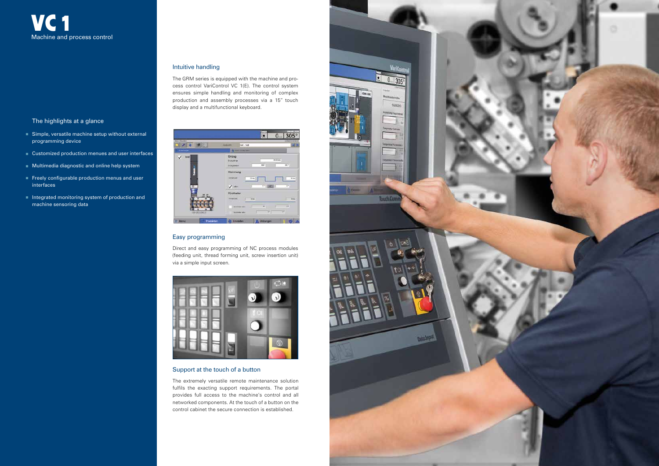The highlights at a glance

- Simple, versatile machine setup without external programming device
- Customized production menues and user interfaces
- **Multimedia diagnostic and online help system**
- Freely configurable production menus and user interfaces
- Integrated monitoring system of production and machine sensoring data



### Intuitive handling

The GRM series is equipped with the machine and process control VariControl VC 1(E). The control system ensures simple handling and monitoring of complex production and assembly processes via a 15" touch display and a multifunctional keyboard.



#### Easy programming

Direct and easy programming of NC process modules (feeding unit, thread forming unit, screw insertion unit) via a simple input screen.



# Support at the touch of a button

The extremely versatile remote maintenance solution fulfils the exacting support requirements. The portal provides full access to the machine's control and all networked components. At the touch of a button on the control cabinet the secure connection is established.

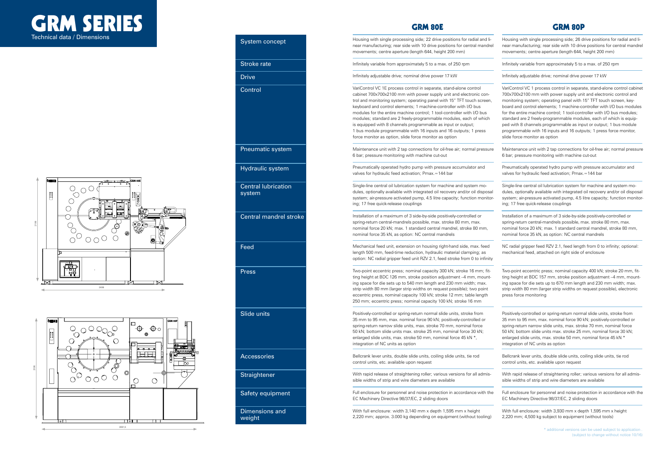Housing with single processing side; 26 drive positions for radial and linear manufacturing; rear side with 10 drive positions for central mandrel movements; centre aperture (length 644, height 200 mm)

Infinitely variable from approximately 5 to a max. of 250 rpm

Infinitely adjustable drive; nominal drive power 17 kW

VariControl VC 1 process control in separate, stand-alone control cabinet 700x700x2100 mm with power supply unit and electronic control and monitoring system; operating panel with 15" TFT touch screen, keyboard and control elements; 1 machine-controller with I/O bus modules for the entire machine control; 1 tool-controller with I/O bus modules; standard are 2 freely-programmable modules, each of which is equipped with 8 channels programmable as input or output; 1 bus module programmable with 16 inputs and 16 outputs; 1 press force monitor, slide force monitor as option

Maintenance unit with 2 tap connections for oil-free air; normal pressure 6 bar; pressure monitoring with machine cut-out

Pneumatically operated hydro pump with pressure accumulator and valves for hydraulic feed activation; Pmax.=144 bar

Single-line central oil lubrication system for machine and system modules, optionally available with integrated oil recovery and/or oil disposal system; air-pressure activated pump, 4.5 litre capacity; function monitoring; 17 free quick-release couplings

Installation of a maximum of 3 side-by-side positively-controlled or spring-return central-mandrels possible, max. stroke 80 mm, max. nominal force 20 kN; max. 1 standard central mandrel, stroke 80 mm, nominal force 35 kN, as option: NC central mandrels

NC radial gripper feed RZV 2.1, feed length from 0 to infinity; optional: mechanical feed, attached on right side of enclosure

Two-point eccentric press; nominal capacity 400 kN; stroke 20 mm, fitting height at BDC 157 mm, stroke position adjustment –4 mm, mounting space for die sets up to 670 mm length and 230 mm width; max. strip width 80 mm (larger strip widths on request possible), electronic press force monitoring

Positively-controlled or spring-return normal slide units, stroke from 35 mm to 95 mm, max. nominal force 90 kN; positively-controlled or spring-return narrow slide units, max. stroke 70 mm, nominal force 50 kN; bottom slide units max. stroke 25 mm, nominal force 30 kN; enlarged slide units, max. stroke 50 mm, nominal force 45 kN \* integration of NC units as option

Bellcrank lever units, double slide units, coiling slide units, tie rod control units, etc. available upon request

With rapid release of straightening roller; various versions for all admissible widths of strip and wire diameters are available

Full enclosure for personnel and noise protection in accordance with the EC Machinery Directive 98/37/EC, 2 sliding doors

With full enclosure: width 3,930 mm x depth 1,595 mm x height 2,220 mm; 4,500 kg subject to equipment (without tools)

Housing with single processing side; 22 drive positions for radial and linear manufacturing; rear side with 10 drive positions for central mandrel movements; centre aperture (length 644, height 200 mm)

Infinitely variable from approximately 5 to a max. of 250 rpm

Infinitely adjustable drive; nominal drive power 17 kW

VariControl VC 1E process control in separate, stand-alone control cabinet 700x700x2100 mm with power supply unit and electronic control and monitoring system; operating panel with 15" TFT touch screen, keyboard and control elements; 1 machine-controller with I/O bus modules for the entire machine control; 1 tool-controller with I/O bus modules; standard are 2 freely-programmable modules, each of which is equipped with 8 channels programmable as input or output; 1 bus module programmable with 16 inputs and 16 outputs; 1 press force monitor as option, slide force monitor as option

Maintenance unit with 2 tap connections for oil-free air; normal pressure 6 bar; pressure monitoring with machine cut-out

Pneumatically operated hydro pump with pressure accumulator and valves for hydraulic feed activation; Pmax.=144 bar

Single-line central oil lubrication system for machine and system modules, optionally available with integrated oil recovery and/or oil disposal system; air-pressure activated pump, 4.5 litre capacity; function monitoring; 17 free quick-release couplings

Installation of a maximum of 3 side-by-side positively-controlled or spring-return central-mandrels possible, max. stroke 80 mm, max. nominal force 20 kN; max. 1 standard central mandrel, stroke 80 mm, nominal force 35 kN, as option: NC central mandrels

Mechanical feed unit, extension on housing right-hand side, max. feed length 500 mm, feed-time reduction, hydraulic material clamping; as option: NC radial gripper feed unit RZV 2.1, feed stroke from 0 to infinity

Two-point eccentric press; nominal capacity 300 kN; stroke 16 mm; fitting height at BDC 126 mm, stroke position adjustment –4 mm, mounting space for die sets up to 540 mm length and 230 mm width; max. strip width 80 mm (larger strip widths on request possible); two point eccentric press, nominal capacity 100 kN; stroke 12 mm; table length 250 mm; eccentric press; nominal capacity 100 kN; stroke 16 mm

Positively-controlled or spring-return normal slide units, stroke from 35 mm to 95 mm, max. nominal force 90 kN; positively-controlled or spring-return narrow slide units, max. stroke 70 mm, nominal force 50 kN; bottom slide units max. stroke 25 mm, nominal force 30 kN; enlarged slide units, max. stroke 50 mm, nominal force 45 kN \*, integration of NC units as option

Bellcrank lever units, double slide units, coiling slide units, tie rod control units, etc. available upon request

With rapid release of straightening roller; various versions for all admissible widths of strip and wire diameters are available

Full enclosure for personnel and noise protection in accordance with the EC Machinery Directive 98/37/EC, 2 sliding doors

With full enclosure: width 3,140 mm x depth 1,595 mm x height 2,220 mm; approx. 3.000 kg depending on equipment (without tooling)



GRM SERIES Technical data / Dimensions

# GRM 80E GRM 80P